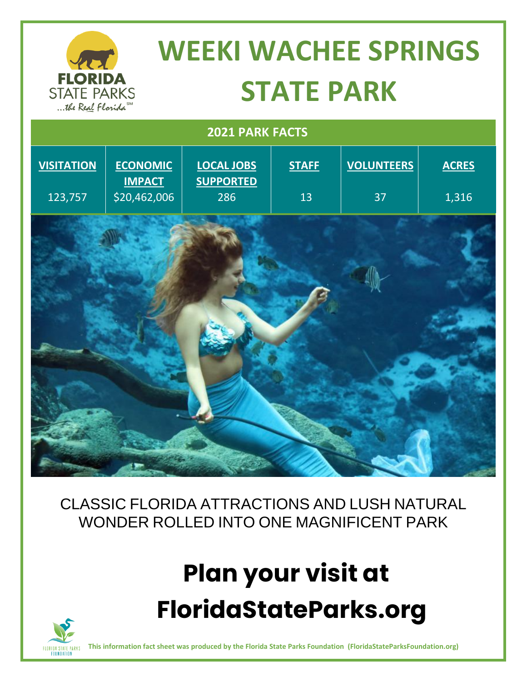#### **WEEKI WACHEE SPRINGS FLORIDA STATE PARK STATE PARKS** ... the Real Florida  **2021 PARK FACTS VOLUNTEERS VISITATION ECONOMIC LOCAL JOBS STAFF ACRES IMPACT SUPPORTED** 123,757 286 13 37 1,316 \$20,462,006

CLASSIC FLORIDA ATTRACTIONS AND LUSH NATURAL WONDER ROLLED INTO ONE MAGNIFICENT PARK

# **Plan your visit at FloridaStateParks.org**



**This information fact sheet was produced by the Florida State Parks Foundation (FloridaStateParksFoundation.org)**